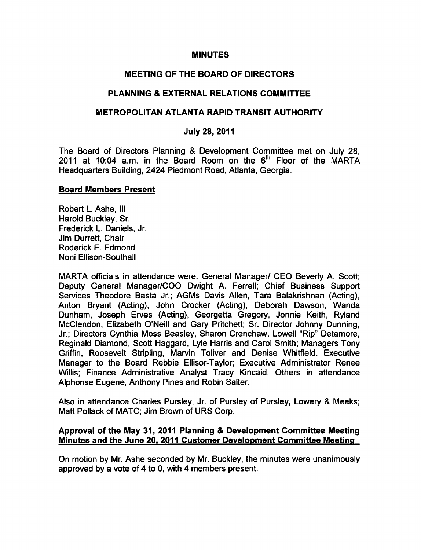#### MINUTES

# MEETING OF THE BOARD OF DIRECTORS

### PLANNING & EXTERNAL RELATIONS COMMITTEE

#### METROPOLITAN ATLANTA RAPID TRANSIT AUTHORITY

#### July 28, 2011

The Board of Directors Planning & Development Committee met on July 28, 2011 at 10:04 a.m. in the Board Room on the  $6<sup>th</sup>$  Floor of the MARTA Headquarters Building, 2424 Piedmont Road, Atlanta, Georgia.

#### Board Members Present

Robert L. Ashe, III Harold Buckley, Sr. Frederick L. Daniels, Jr. Jim Durrett, Chair Roderick E. Edmond Noni Ellison-Southall

MARTA officials in attendance were: General Manager/ CEO Beverly A. Scott; Deputy General Manager/COO Dwight A. Ferrell; Chief Business Support Services Theodore Basta Jr.; AGMs Davis Allen, Tara Balakrishnan (Acting), Anton Bryant (Acting), John Crocker (Acting), Deborah Dawson, Wanda Dunham, Joseph Erves (Acting), Georgetta Gregory, Jonnie Keith, Ryland McClendon, Elizabeth O'Neill and Gary Pritchett; Sr. Director Johnny Dunning, Jr.; Directors Cynthia Moss Beasley, Sharon Crenchaw, Lowell "Rip" Detamore, Reginald Diamond, Scott Haggard, Lyle Harris and Carol Smith; Managers Tony Griffin, Roosevelt Stripling, Marvin Toliver and Denise Whitfield. Executive Manager to the Board Rebbie Ellisor-Taylor; Executive Administrator Renee Willis; Finance Administrative Analyst Tracy Kincaid. Others in attendance Alphonse Eugene, Anthony Pines and Robin Salter.

Also in attendance Charles Pursley, Jr. of Pursley of Pursley, Lowery & Meeks; Matt Pollack of MATC; Jim Brown of URS Corp.

#### Approval of the May 31, 2011 Planning & Development Committee Meeting Minutes and the June 20, 2011 Customer Development Committee Meeting

On motion by Mr. Ashe seconded by Mr. Buckley, the minutes were unanimously approved by a vote of 4 to 0, with 4 members present.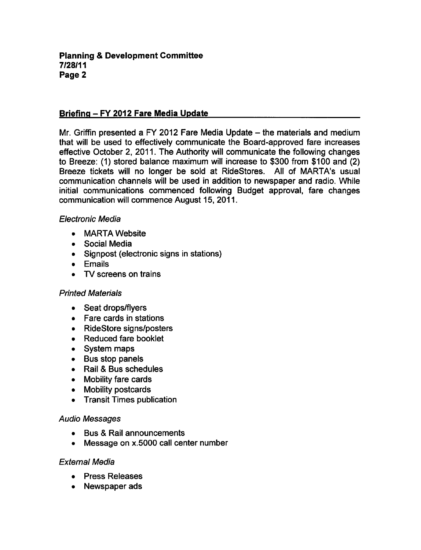#### **Planning & Development Committee** 7/28/11 Page

### Briefing - FY 2012 Fare Media Update

Mr. Griffin presented a FY 2012 Fare Media Update  $-$  the materials and medium that will be used to effectively communicate the Board-approved fare increases effective October 2, 2011. The Authority will communicate the following changes to Breeze: (1) stored balance maximum will increase to \$300 from \$100 and (2) Breeze tickets will no longer be sold at RideStores. All of MARTA's usual communication channels will be used in addition to newspaper and radio. While initial communications commenced following Budget approval, fare changes communication will commence August 15, 2011.

#### Electronic Media

- MARTA Website
- Social Media
- Signpost (electronic signs in stations)
- **•** Emails
- TV screens on trains

### Printed Materials

- Seat drops/flyers
- Fare cards in stations
- RideStore signs/posters
- Reduced fare booklet
- System maps
- Bus stop panels
- Rail & Bus schedules
- Mobility fare cards
- Mobility postcards
- Transit Times publication

### Audio Messages

- Bus & Rail announcements
- Message on x.5000 call center number  $\bullet$

### External Media

- Press Releases
- Newspaper ads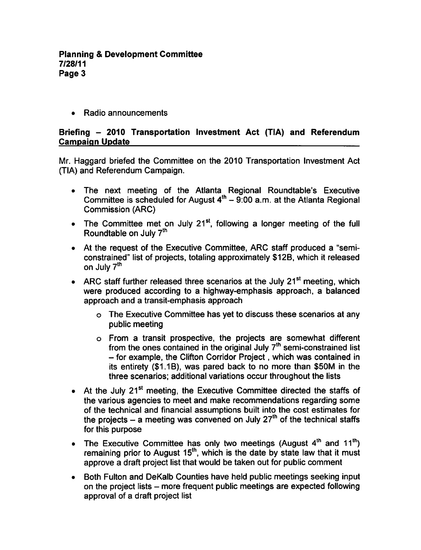• Radio announcements

### Briefing 2010 Transportation Investment Act (TIA) and Referendum Campaign Update

Mr. Haggard briefed the Committee on the 2010 Transportation Investment Act (TIA) and Referendum Campaign.

- The next meeting of the Atlanta Regional Roundtable's Executive Committee is scheduled for August  $4<sup>th</sup> - 9:00$  a.m. at the Atlanta Regional Commission (ARC)
- The Committee met on July 21 $st$ , following a longer meeting of the full Roundtable on July 7<sup>th</sup>
- At the request of the Executive Committee, ARC staff produced a "semiconstrained" list of projects, totaling approximately \$12B, which it released on July 7<sup>th</sup>
- ARC staff further released three scenarios at the July  $21^{st}$  meeting, which were produced according to a highway-emphasis approach, a balanced approach and a transit-emphasis approach
	- The Executive Committee has yet to discuss these scenarios at any public meeting
	- o From a transit prospective, the projects are somewhat different from the ones contained in the original July  $7<sup>th</sup>$  semi-constrained list  $-$  for example, the Clifton Corridor Project, which was contained in its entirety (\$1.1B), was pared back to no more than \$50M in the three scenarios; additional variations occur throughout the lists
- At the July 21<sup>st</sup> meeting, the Executive Committee directed the staffs of the various agencies to meet and make recommendations regarding some of the technical and financial assumptions built into the cost estimates for the projects – a meeting was convened on July  $27<sup>th</sup>$  of the technical staffs for this purpose
- The Executive Committee has only two meetings (August  $4<sup>th</sup>$  and  $11<sup>th</sup>$ ) remaining prior to August  $15<sup>th</sup>$ , which is the date by state law that it must approve a draft project list that would be taken out for public comment
- Both Fulton and DeKalb Counties have held public meetings seeking input on the project lists – more frequent public meetings are expected following approval of a draft project list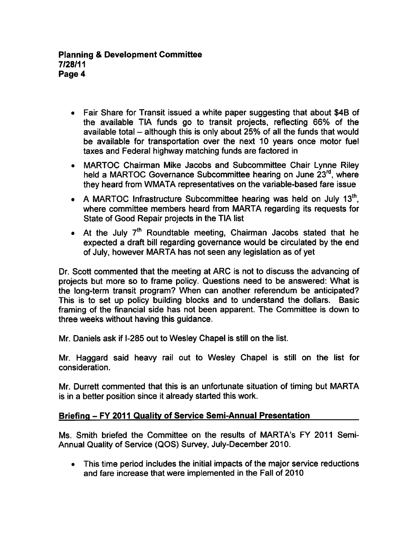- Fair Share for Transit issued a white paper suggesting that about \$4B of the available TIA funds go to transit projects, reflecting 66% of the available total – although this is only about 25% of all the funds that would be available for transportation over the next 10 years once motor fuel taxes and Federal highway matching funds are factored in
- MARTOC Chairman Mike Jacobs and Subcommittee Chair Lynne Riley held a MARTOC Governance Subcommittee hearing on June 23rd, where they heard from WMATA representatives on the variable-based fare issue
- $\bullet$  A MARTOC Infrastructure Subcommittee hearing was held on July 13<sup>th</sup>, where committee members heard from MARTA regarding its requests for State of Good Repair projects in the TIA list
- $\bullet$  At the July  $7<sup>th</sup>$  Roundtable meeting, Chairman Jacobs stated that he expected a draft bill regarding governance would be circulated by the end of July, however MARTA has not seen any legislation as of yet

Dr. Scott commented that the meeting at ARC is not to discuss the advancing of projects but more so to frame policy. Questions need to be answered: What is the long-term transit program? When can another referendum be anticipated? This is to set up policy building blocks and to understand the dollars. Basic framing of the financial side has not been apparent. The Committee is down to three weeks without having this guidance.

Mr. Daniels ask if I-285 out to Wesley Chapel is still on the list.

Mr. Haggard said heavy rail out to Wesley Chapel is still on the list for consideration.

Mr. Durrett commented that this is an unfortunate situation of timing but MARTA is in a better position since it already started this work.

# Briefing - FY 2011 Quality of Service Semi-Annual Presentation

Ms. Smith briefed the Committee on the results of MARTA's FY 2011 Semi-Annual Quality of Service (QOS) Survey, July-December 2010.

This time period includes the initial impacts of the major service reductions and fare increase that were implemented in the Fall of 2010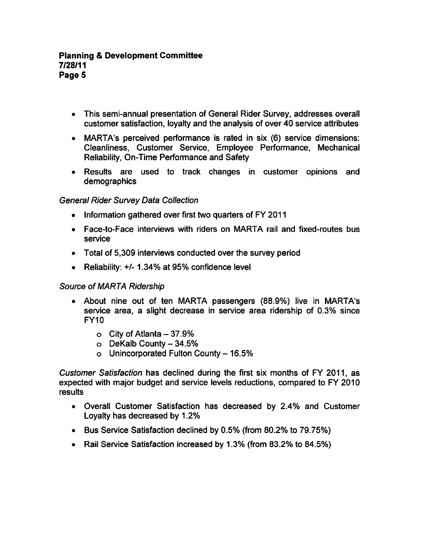- This semi-annual presentation of General Rider Survey, addresses overall customer satisfaction, loyalty and the analysis of over 40 service attributes
- MARTA's perceived performance is rated in six (6) service dimensions: Cleanliness, Customer Service, Employee Performance, Mechanical Reliability, On-Time Performance and Safety
- Results are used to track changes in customer opinions and demographics

# General Rider Survey Data Collection

- Information gathered over first two quarters of FY 2011
- Face-to-Face interviews with riders on MARTA rail and fixed-routes bus service
- Total of 5,309 interviews conducted over the survey period
- Reliability:  $+/- 1.34\%$  at 95% confidence level

### Source of MARTA Ridership

- About nine out of ten MARTA passengers (88.9%) live in MARTA's service area, a slight decrease in service area ridership of 0.3% since FY10
	- $\circ$  City of Atlanta 37.9%
	- $\circ$  DeKalb County 34.5%
	- $\circ$  Unincorporated Fulton County 16.5%

Customer Satisfaction has declined during the first six months of FY 2011, as expected with major budget and service levels reductions, compared to FY 2010 results

- Overall Customer Satisfaction has decreased by 2.4% and Customer Loyalty has decreased by 1.2%
- Bus Service Satisfaction declined by 0.5% (from 80.2% to 79.75%)
- Rail Service Satisfaction increased by 1.3% (from 83.2% to 84.5%)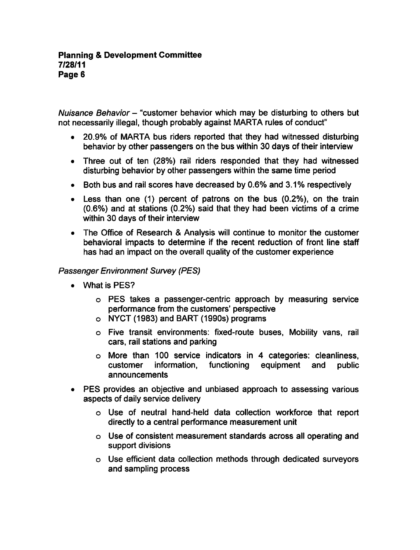Nuisance Behavior – "customer behavior which may be disturbing to others but not necessarily illegal, though probably against MARTA rules of conduct"

- 20.9% of MARTA bus riders reported that they had witnessed disturbing behavior by other passengers on the bus within 30 days of their interview
- Three out of ten (28%) rail riders responded that they had witnessed disturbing behavior by other passengers within the same time period
- Both bus and rail scores have decreased by 0.6% and 3.1% respectively
- Less than one (1) percent of patrons on the bus (0.2%), on the train  $(0.6%)$  and at stations  $(0.2%)$  said that they had been victims of a crime within 30 days of their interview
- The Office of Research & Analysis will continue to monitor the customer behavioral impacts to determine if the recent reduction of front line staff has had an impact on the overall quality of the customer experience

# Passenger Environment Survey (PES)

- What is PES?
	- o PES takes a passenger-centric approach by measuring service performance from the customers' perspective
	- NYCT (1983) and BART (1990s) programs
	- Five transit environments: fixed-route buses, Mobility vans, rail cars, rail stations and parking
	- $\circ$  More than 100 service indicators in 4 categories: cleanliness, customer information, functioning equipment and public announcements
- PES provides an objective and unbiased approach to assessing various aspects of daily service delivery
	- Use of neutral hand-held data collection workforce that report directly to a central performance measurement unit
	- Use of consistent measurement standards across all operating and support divisions
	- Use efficient data collection methods through dedicated surveyors and sampling process